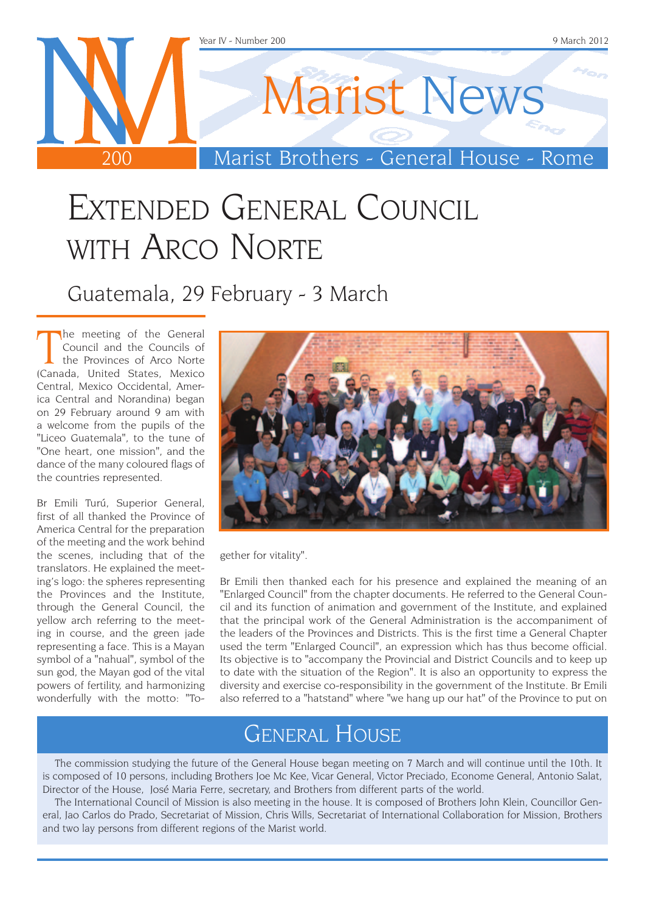

## Extended General Council WITH ARCO NORTE

Guatemala, 29 February - 3 March

The meeting of the General<br>Council and the Councils of<br>the Provinces of Arco Norte<br>(Canada, United States, Mexico he meeting of the General Council and the Councils of the Provinces of Arco Norte Central, Mexico Occidental, America Central and Norandina) began on 29 February around 9 am with a welcome from the pupils of the "Liceo Guatemala", to the tune of "One heart, one mission", and the dance of the many coloured flags of the countries represented.

Br Emili Turú, Superior General, first of all thanked the Province of America Central for the preparation of the meeting and the work behind the scenes, including that of the translators. He explained the meeting's logo: the spheres representing the Provinces and the Institute, through the General Council, the yellow arch referring to the meeting in course, and the green jade representing a face. This is a Mayan symbol of a "nahual", symbol of the sun god, the Mayan god of the vital powers of fertility, and harmonizing wonderfully with the motto: "To-



gether for vitality".

Br Emili then thanked each for his presence and explained the meaning of an "Enlarged Council" from the chapter documents. He referred to the General Council and its function of animation and government of the Institute, and explained that the principal work of the General Administration is the accompaniment of the leaders of the Provinces and Districts. This is the first time a General Chapter used the term "Enlarged Council", an expression which has thus become official. Its objective is to "accompany the Provincial and District Councils and to keep up to date with the situation of the Region". It is also an opportunity to express the diversity and exercise co-responsibility in the government of the Institute. Br Emili also referred to a "hatstand" where "we hang up our hat" of the Province to put on

#### General House

The commission studying the future of the General House began meeting on 7 March and will continue until the 10th. It is composed of 10 persons, including Brothers Joe Mc Kee, Vicar General, Victor Preciado, Econome General, Antonio Salat, Director of the House, José Maria Ferre, secretary, and Brothers from different parts of the world.

The International Council of Mission is also meeting in the house. It is composed of Brothers John Klein, Councillor General, Jao Carlos do Prado, Secretariat of Mission, Chris Wills, Secretariat of International Collaboration for Mission, Brothers and two lay persons from different regions of the Marist world.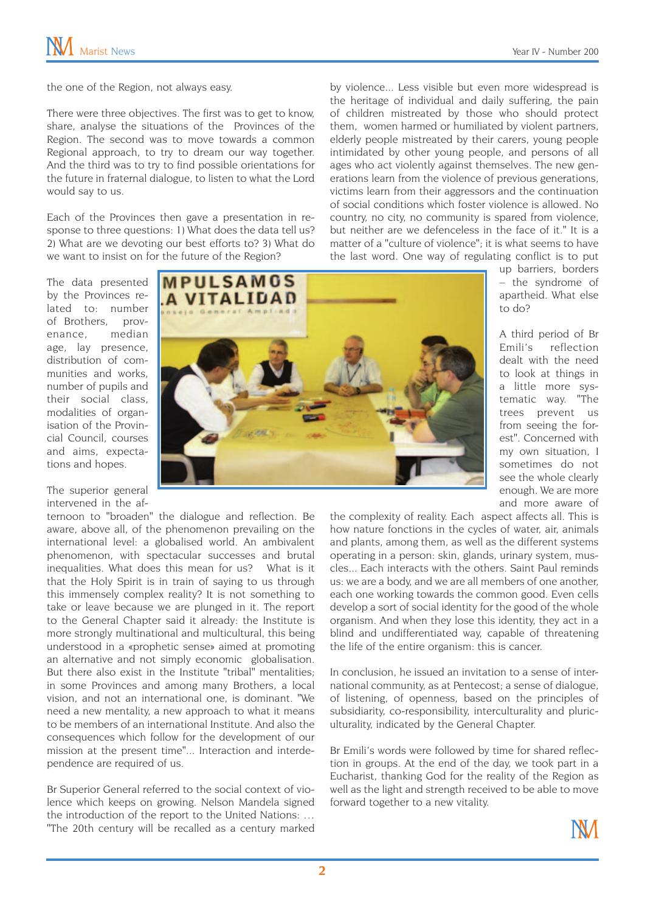up barriers, borders – the syndrome of apartheid. What else

A third period of Br Emili's reflection dealt with the need to look at things in a little more systematic way. "The trees prevent us from seeing the forest". Concerned with my own situation, I sometimes do not see the whole clearly

to do?

the one of the Region, not always easy.

There were three objectives. The first was to get to know, share, analyse the situations of the Provinces of the Region. The second was to move towards a common Regional approach, to try to dream our way together. And the third was to try to find possible orientations for the future in fraternal dialogue, to listen to what the Lord would say to us.

Each of the Provinces then gave a presentation in response to three questions: 1) What does the data tell us? 2) What are we devoting our best efforts to? 3) What do we want to insist on for the future of the Region?

by violence... Less visible but even more widespread is the heritage of individual and daily suffering, the pain of children mistreated by those who should protect them, women harmed or humiliated by violent partners, elderly people mistreated by their carers, young people intimidated by other young people, and persons of all ages who act violently against themselves. The new generations learn from the violence of previous generations, victims learn from their aggressors and the continuation of social conditions which foster violence is allowed. No country, no city, no community is spared from violence, but neither are we defenceless in the face of it." It is a matter of a "culture of violence"; it is what seems to have the last word. One way of regulating conflict is to put

The data presented by the Provinces related to: number of Brothers, provenance, median age, lay presence, distribution of communities and works, number of pupils and their social class, modalities of organisation of the Provincial Council, courses and aims, expectations and hopes.

The superior general intervened in the af-



ternoon to "broaden" the dialogue and reflection. Be enough. We are more and more aware of the complexity of reality. Each aspect affects all. This is how nature fonctions in the cycles of water, air, animals and plants, among them, as well as the different systems operating in a person: skin, glands, urinary system, muscles... Each interacts with the others. Saint Paul reminds us: we are a body, and we are all members of one another, each one working towards the common good. Even cells develop a sort of social identity for the good of the whole organism. And when they lose this identity, they act in a blind and undifferentiated way, capable of threatening the life of the entire organism: this is cancer.

In conclusion, he issued an invitation to a sense of international community, as at Pentecost; a sense of dialogue, of listening, of openness, based on the principles of subsidiarity, co-responsibility, interculturality and pluriculturality, indicated by the General Chapter.

Br Emili's words were followed by time for shared reflection in groups. At the end of the day, we took part in a Eucharist, thanking God for the reality of the Region as well as the light and strength received to be able to move forward together to a new vitality.



aware, above all, of the phenomenon prevailing on the international level: a globalised world. An ambivalent phenomenon, with spectacular successes and brutal inequalities. What does this mean for us? What is it that the Holy Spirit is in train of saying to us through this immensely complex reality? It is not something to take or leave because we are plunged in it. The report to the General Chapter said it already: the Institute is more strongly multinational and multicultural, this being understood in a «prophetic sense» aimed at promoting an alternative and not simply economic globalisation. But there also exist in the Institute "tribal" mentalities; in some Provinces and among many Brothers, a local vision, and not an international one, is dominant. "We need a new mentality, a new approach to what it means to be members of an international Institute. And also the consequences which follow for the development of our mission at the present time"... Interaction and interdependence are required of us.

Br Superior General referred to the social context of violence which keeps on growing. Nelson Mandela signed the introduction of the report to the United Nations: … "The 20th century will be recalled as a century marked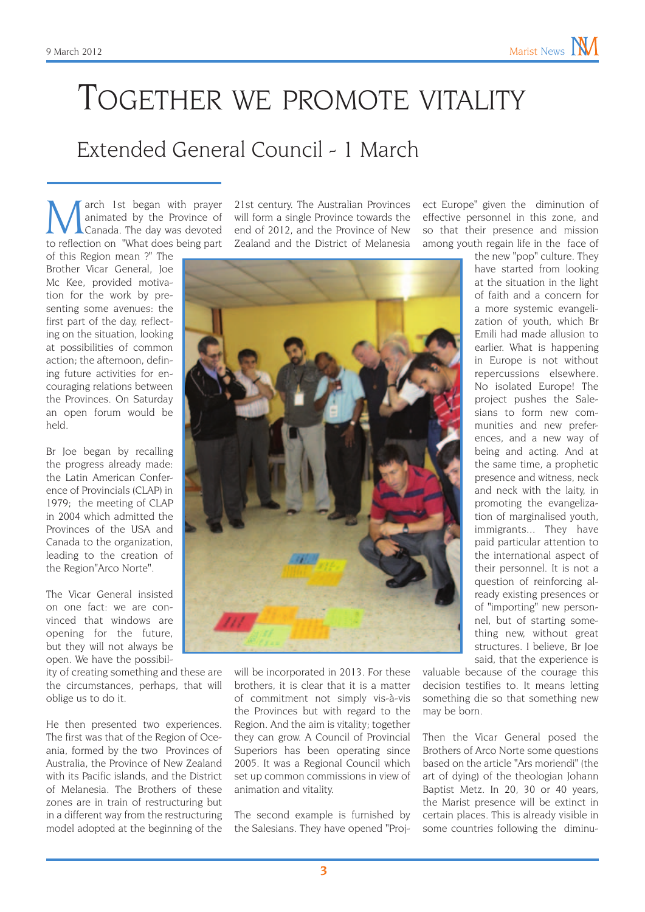### Together we promote vitality

#### Extended General Council - 1 March

March 1st began with prayer<br>animated by the Province of<br>to reflection on "What does being part animated by the Province of Canada. The day was devoted to reflection on "What does being part

of this Region mean ?" The Brother Vicar General, Joe Mc Kee, provided motivation for the work by presenting some avenues: the first part of the day, reflecting on the situation, looking at possibilities of common action; the afternoon, defining future activities for encouraging relations between the Provinces. On Saturday an open forum would be held.

Br Joe began by recalling the progress already made: the Latin American Conference of Provincials (CLAP) in 1979; the meeting of CLAP in 2004 which admitted the Provinces of the USA and Canada to the organization, leading to the creation of the Region"Arco Norte".

The Vicar General insisted on one fact: we are convinced that windows are opening for the future, but they will not always be open. We have the possibil-

ity of creating something and these are the circumstances, perhaps, that will oblige us to do it.

He then presented two experiences. The first was that of the Region of Oceania, formed by the two Provinces of Australia, the Province of New Zealand with its Pacific islands, and the District of Melanesia. The Brothers of these zones are in train of restructuring but in a different way from the restructuring model adopted at the beginning of the

21st century. The Australian Provinces will form a single Province towards the end of 2012, and the Province of New Zealand and the District of Melanesia



will be incorporated in 2013. For these brothers, it is clear that it is a matter of commitment not simply vis-à-vis the Provinces but with regard to the Region. And the aim is vitality; together they can grow. A Council of Provincial Superiors has been operating since 2005. It was a Regional Council which set up common commissions in view of animation and vitality.

The second example is furnished by the Salesians. They have opened "Project Europe" given the diminution of effective personnel in this zone, and so that their presence and mission among youth regain life in the face of

the new "pop" culture. They have started from looking at the situation in the light of faith and a concern for a more systemic evangelization of youth, which Br Emili had made allusion to earlier. What is happening in Europe is not without repercussions elsewhere. No isolated Europe! The project pushes the Salesians to form new communities and new preferences, and a new way of being and acting. And at the same time, a prophetic presence and witness, neck and neck with the laity, in promoting the evangelization of marginalised youth, immigrants... They have paid particular attention to the international aspect of their personnel. It is not a question of reinforcing already existing presences or of "importing" new personnel, but of starting something new, without great structures. I believe, Br Joe said, that the experience is

valuable because of the courage this decision testifies to. It means letting something die so that something new may be born.

Then the Vicar General posed the Brothers of Arco Norte some questions based on the article "Ars moriendi" (the art of dying) of the theologian Johann Baptist Metz. In 20, 30 or 40 years, the Marist presence will be extinct in certain places. This is already visible in some countries following the diminu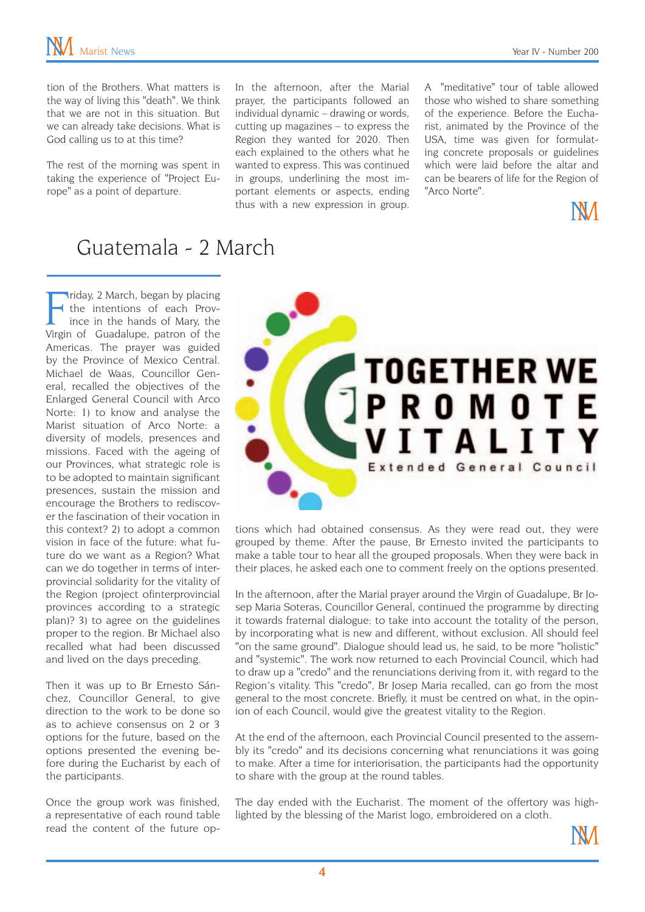tion of the Brothers. What matters is the way of living this "death". We think that we are not in this situation. But we can already take decisions. What is God calling us to at this time?

The rest of the morning was spent in taking the experience of "Project Europe" as a point of departure.

In the afternoon, after the Marial prayer, the participants followed an individual dynamic – drawing or words, cutting up magazines – to express the Region they wanted for 2020. Then each explained to the others what he wanted to express. This was continued in groups, underlining the most important elements or aspects, ending thus with a new expression in group. A "meditative" tour of table allowed those who wished to share something of the experience. Before the Eucharist, animated by the Province of the USA, time was given for formulating concrete proposals or guidelines which were laid before the altar and can be bearers of life for the Region of "Arco Norte".



#### Guatemala - 2 March

Fiday, 2 March, began by placing<br>
the intentions of each Prov-<br>
ince in the hands of Mary, the<br>
Virgin of Guadalupe, patron of the riday, 2 March, began by placing the intentions of each Province in the hands of Mary, the Americas. The prayer was guided by the Province of Mexico Central. Michael de Waas, Councillor General, recalled the objectives of the Enlarged General Council with Arco Norte: 1) to know and analyse the Marist situation of Arco Norte: a diversity of models, presences and missions. Faced with the ageing of our Provinces, what strategic role is to be adopted to maintain significant presences, sustain the mission and encourage the Brothers to rediscover the fascination of their vocation in this context? 2) to adopt a common vision in face of the future: what future do we want as a Region? What can we do together in terms of interprovincial solidarity for the vitality of the Region (project ofinterprovincial provinces according to a strategic plan)? 3) to agree on the guidelines proper to the region. Br Michael also recalled what had been discussed and lived on the days preceding.

Then it was up to Br Ernesto Sánchez, Councillor General, to give direction to the work to be done so as to achieve consensus on 2 or 3 options for the future, based on the options presented the evening before during the Eucharist by each of the participants.

Once the group work was finished, a representative of each round table read the content of the future op-



tions which had obtained consensus. As they were read out, they were grouped by theme. After the pause, Br Ernesto invited the participants to make a table tour to hear all the grouped proposals. When they were back in their places, he asked each one to comment freely on the options presented.

In the afternoon, after the Marial prayer around the Virgin of Guadalupe, Br Josep Maria Soteras, Councillor General, continued the programme by directing it towards fraternal dialogue: to take into account the totality of the person, by incorporating what is new and different, without exclusion. All should feel "on the same ground". Dialogue should lead us, he said, to be more "holistic" and "systemic". The work now returned to each Provincial Council, which had to draw up a "credo" and the renunciations deriving from it, with regard to the Region's vitality. This "credo", Br Josep Maria recalled, can go from the most general to the most concrete. Briefly, it must be centred on what, in the opinion of each Council, would give the greatest vitality to the Region.

At the end of the afternoon, each Provincial Council presented to the assembly its "credo" and its decisions concerning what renunciations it was going to make. After a time for interiorisation, the participants had the opportunity to share with the group at the round tables.

The day ended with the Eucharist. The moment of the offertory was highlighted by the blessing of the Marist logo, embroidered on a cloth.

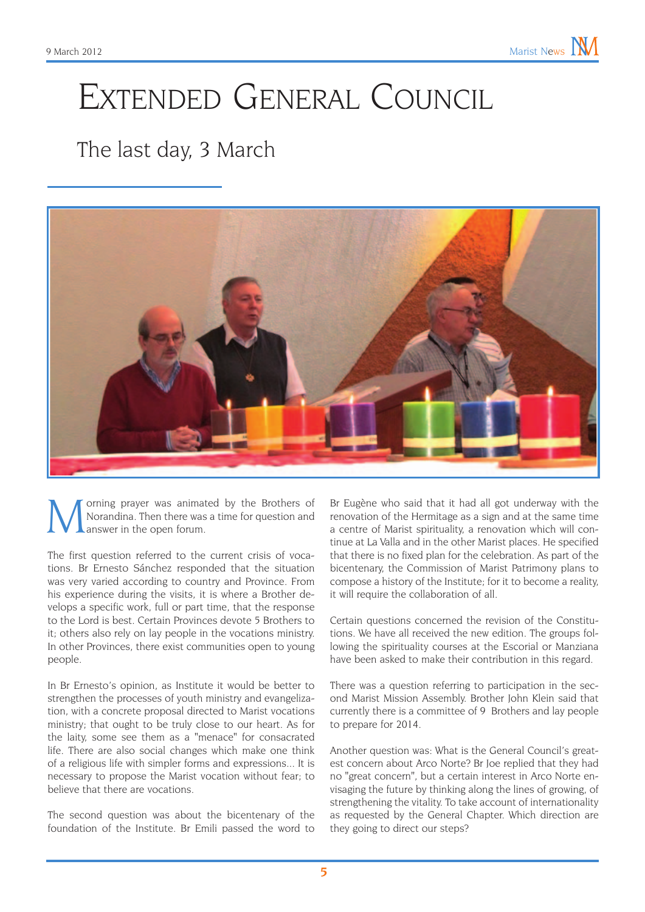# Extended General Council

#### The last day, 3 March



orning prayer was animated by the Brothers of Norandina. Then there was a time for question and answer in the open forum.

The first question referred to the current crisis of vocations. Br Ernesto Sánchez responded that the situation was very varied according to country and Province. From his experience during the visits, it is where a Brother develops a specific work, full or part time, that the response to the Lord is best. Certain Provinces devote 5 Brothers to it; others also rely on lay people in the vocations ministry. In other Provinces, there exist communities open to young people.

In Br Ernesto's opinion, as Institute it would be better to strengthen the processes of youth ministry and evangelization, with a concrete proposal directed to Marist vocations ministry; that ought to be truly close to our heart. As for the laity, some see them as a "menace" for consacrated life. There are also social changes which make one think of a religious life with simpler forms and expressions... It is necessary to propose the Marist vocation without fear; to believe that there are vocations.

The second question was about the bicentenary of the foundation of the Institute. Br Emili passed the word to

Br Eugène who said that it had all got underway with the renovation of the Hermitage as a sign and at the same time a centre of Marist spirituality, a renovation which will continue at La Valla and in the other Marist places. He specified that there is no fixed plan for the celebration. As part of the bicentenary, the Commission of Marist Patrimony plans to compose a history of the Institute; for it to become a reality, it will require the collaboration of all.

Certain questions concerned the revision of the Constitutions. We have all received the new edition. The groups following the spirituality courses at the Escorial or Manziana have been asked to make their contribution in this regard.

There was a question referring to participation in the second Marist Mission Assembly. Brother John Klein said that currently there is a committee of 9 Brothers and lay people to prepare for 2014.

Another question was: What is the General Council's greatest concern about Arco Norte? Br Joe replied that they had no "great concern", but a certain interest in Arco Norte envisaging the future by thinking along the lines of growing, of strengthening the vitality. To take account of internationality as requested by the General Chapter. Which direction are they going to direct our steps?